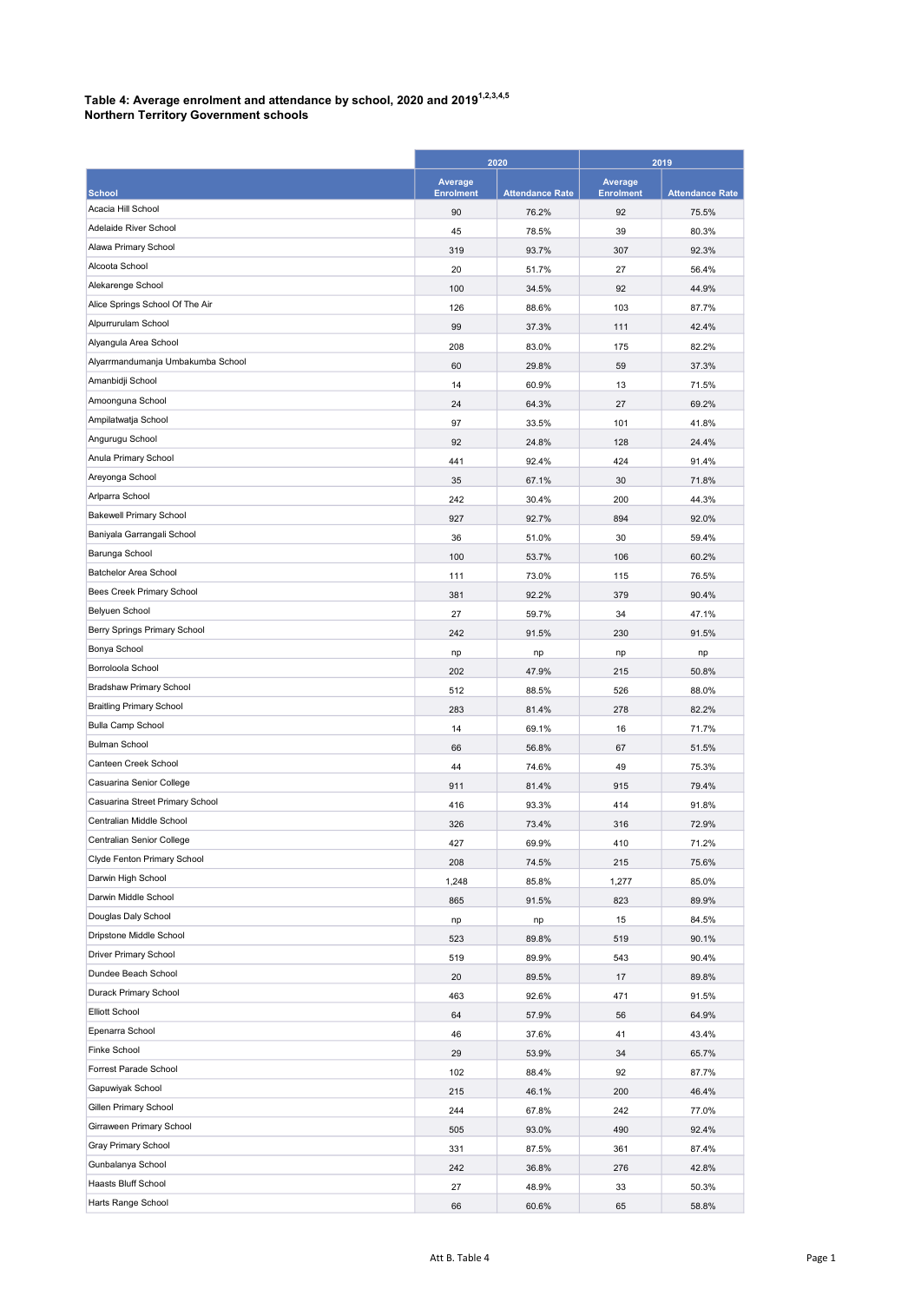## Table 4: Average enrolment and attendance by school, 2020 and 2019 $^{1,2,3,4,5}$

Northern Territory Government schools

|                                   | 2020                        |                        | 2019                        |                        |
|-----------------------------------|-----------------------------|------------------------|-----------------------------|------------------------|
| <b>School</b>                     | Average<br><b>Enrolment</b> | <b>Attendance Rate</b> | Average<br><b>Enrolment</b> | <b>Attendance Rate</b> |
| Acacia Hill School                | 90                          | 76.2%                  | 92                          | 75.5%                  |
| Adelaide River School             | 45                          | 78.5%                  | 39                          | 80.3%                  |
| Alawa Primary School              | 319                         | 93.7%                  | 307                         | 92.3%                  |
| Alcoota School                    | 20                          | 51.7%                  | 27                          | 56.4%                  |
| Alekarenge School                 | 100                         | 34.5%                  | 92                          | 44.9%                  |
| Alice Springs School Of The Air   | 126                         | 88.6%                  | 103                         | 87.7%                  |
| Alpurrurulam School               | 99                          | 37.3%                  | 111                         | 42.4%                  |
| Alyangula Area School             | 208                         | 83.0%                  | 175                         | 82.2%                  |
| Alyarrmandumanja Umbakumba School | 60                          | 29.8%                  | 59                          | 37.3%                  |
| Amanbidji School                  | 14                          | 60.9%                  | 13                          | 71.5%                  |
| Amoonguna School                  | 24                          | 64.3%                  | 27                          | 69.2%                  |
| Ampilatwatja School               | 97                          | 33.5%                  | 101                         | 41.8%                  |
| Angurugu School                   | 92                          | 24.8%                  | 128                         | 24.4%                  |
| Anula Primary School              | 441                         | 92.4%                  | 424                         | 91.4%                  |
| Areyonga School                   | 35                          | 67.1%                  | 30                          | 71.8%                  |
| Arlparra School                   | 242                         | 30.4%                  | 200                         | 44.3%                  |
| <b>Bakewell Primary School</b>    | 927                         | 92.7%                  | 894                         | 92.0%                  |
| Baniyala Garrangali School        | 36                          | 51.0%                  | 30                          | 59.4%                  |
| Barunga School                    | 100                         | 53.7%                  | 106                         | 60.2%                  |
| Batchelor Area School             | 111                         | 73.0%                  | 115                         | 76.5%                  |
| Bees Creek Primary School         | 381                         | 92.2%                  | 379                         | 90.4%                  |
| Belyuen School                    | 27                          | 59.7%                  | 34                          | 47.1%                  |
| Berry Springs Primary School      | 242                         | 91.5%                  | 230                         | 91.5%                  |
| Bonya School                      | np                          | np                     | np                          | np                     |
| Borroloola School                 | 202                         | 47.9%                  | 215                         | 50.8%                  |
| Bradshaw Primary School           | 512                         | 88.5%                  | 526                         | 88.0%                  |
| <b>Braitling Primary School</b>   | 283                         | 81.4%                  | 278                         | 82.2%                  |
| <b>Bulla Camp School</b>          | 14                          | 69.1%                  | 16                          | 71.7%                  |
| <b>Bulman School</b>              | 66                          | 56.8%                  | 67                          | 51.5%                  |
| Canteen Creek School              | 44                          | 74.6%                  | 49                          | 75.3%                  |
| Casuarina Senior College          | 911                         | 81.4%                  | 915                         | 79.4%                  |
| Casuarina Street Primary School   | 416                         | 93.3%                  | 414                         | 91.8%                  |
| Centralian Middle School          | 326                         | 73.4%                  | 316                         | 72.9%                  |
| Centralian Senior College         | 427                         | 69.9%                  | 410                         | 71.2%                  |
| Clyde Fenton Primary School       | 208                         | 74.5%                  | 215                         | 75.6%                  |
| Darwin High School                | 1,248                       | 85.8%                  | 1,277                       | 85.0%                  |
| Darwin Middle School              | 865                         | 91.5%                  | 823                         | 89.9%                  |
| Douglas Daly School               | np                          | np                     | 15                          | 84.5%                  |
| Dripstone Middle School           | 523                         | 89.8%                  | 519                         | 90.1%                  |
| Driver Primary School             | 519                         | 89.9%                  | 543                         | 90.4%                  |
| Dundee Beach School               | 20                          | 89.5%                  | 17                          | 89.8%                  |
| Durack Primary School             | 463                         | 92.6%                  | 471                         | 91.5%                  |
| <b>Elliott School</b>             | 64                          | 57.9%                  | 56                          | 64.9%                  |
| Epenarra School                   | 46                          | 37.6%                  | 41                          | 43.4%                  |
| Finke School                      |                             | 53.9%                  |                             |                        |
| Forrest Parade School             | 29<br>102                   |                        | 34<br>92                    | 65.7%                  |
| Gapuwiyak School                  |                             | 88.4%                  |                             | 87.7%<br>46.4%         |
| Gillen Primary School             | 215                         | 46.1%                  | 200                         |                        |
| Girraween Primary School          | 244                         | 67.8%                  | 242                         | 77.0%                  |
| Gray Primary School               | 505                         | 93.0%                  | 490                         | 92.4%                  |
| Gunbalanya School                 | 331                         | 87.5%                  | 361                         | 87.4%                  |
| Haasts Bluff School               | 242                         | 36.8%                  | 276                         | 42.8%                  |
| Harts Range School                | 27                          | 48.9%                  | 33                          | 50.3%                  |
|                                   | 66                          | 60.6%                  | 65                          | 58.8%                  |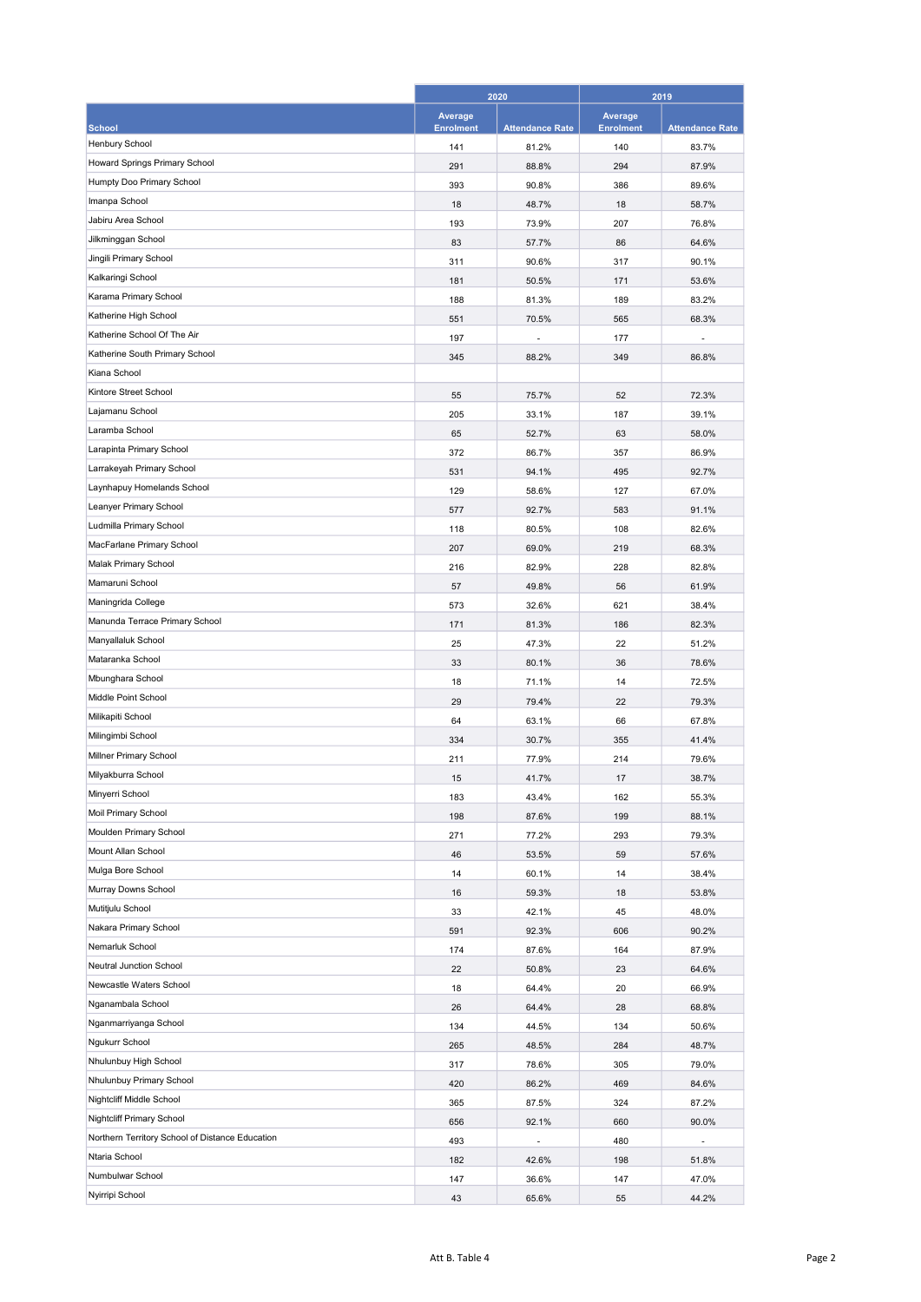|                                                 | 2020                        |                        | 2019                               |                        |
|-------------------------------------------------|-----------------------------|------------------------|------------------------------------|------------------------|
| <b>School</b>                                   | Average<br><b>Enrolment</b> | <b>Attendance Rate</b> | <b>Average</b><br><b>Enrolment</b> | <b>Attendance Rate</b> |
| Henbury School                                  | 141                         | 81.2%                  | 140                                | 83.7%                  |
| Howard Springs Primary School                   | 291                         | 88.8%                  | 294                                | 87.9%                  |
| Humpty Doo Primary School                       | 393                         | 90.8%                  | 386                                | 89.6%                  |
| Imanpa School                                   | 18                          | 48.7%                  | 18                                 | 58.7%                  |
| Jabiru Area School                              | 193                         | 73.9%                  | 207                                | 76.8%                  |
| Jilkminggan School                              | 83                          | 57.7%                  | 86                                 | 64.6%                  |
| Jingili Primary School                          | 311                         | 90.6%                  | 317                                | 90.1%                  |
| Kalkaringi School                               | 181                         | 50.5%                  | 171                                | 53.6%                  |
| Karama Primary School                           | 188                         | 81.3%                  | 189                                | 83.2%                  |
| Katherine High School                           | 551                         | 70.5%                  | 565                                | 68.3%                  |
| Katherine School Of The Air                     | 197                         | ٠                      | 177                                | ٠                      |
| Katherine South Primary School                  | 345                         | 88.2%                  | 349                                | 86.8%                  |
| Kiana School                                    |                             |                        |                                    |                        |
| Kintore Street School                           | 55                          | 75.7%                  | 52                                 | 72.3%                  |
| Lajamanu School                                 | 205                         | 33.1%                  | 187                                | 39.1%                  |
| Laramba School                                  | 65                          | 52.7%                  | 63                                 | 58.0%                  |
| Larapinta Primary School                        | 372                         | 86.7%                  | 357                                | 86.9%                  |
| Larrakeyah Primary School                       | 531                         | 94.1%                  | 495                                | 92.7%                  |
| Laynhapuy Homelands School                      | 129                         | 58.6%                  | 127                                | 67.0%                  |
| Leanyer Primary School                          | 577                         | 92.7%                  | 583                                | 91.1%                  |
| Ludmilla Primary School                         | 118                         | 80.5%                  | 108                                | 82.6%                  |
| MacFarlane Primary School                       | 207                         | 69.0%                  | 219                                | 68.3%                  |
| Malak Primary School                            | 216                         | 82.9%                  | 228                                | 82.8%                  |
| Mamaruni School                                 | 57                          | 49.8%                  | 56                                 | 61.9%                  |
| Maningrida College                              | 573                         | 32.6%                  | 621                                | 38.4%                  |
| Manunda Terrace Primary School                  | 171                         | 81.3%                  | 186                                | 82.3%                  |
| Manyallaluk School                              | 25                          | 47.3%                  | 22                                 | 51.2%                  |
| Mataranka School                                | 33                          | 80.1%                  | 36                                 | 78.6%                  |
| Mbunghara School                                | 18                          | 71.1%                  | 14                                 | 72.5%                  |
| Middle Point School                             | 29                          | 79.4%                  | 22                                 | 79.3%                  |
| Milikapiti School                               | 64                          | 63.1%                  | 66                                 | 67.8%                  |
| Milingimbi School                               | 334                         | 30.7%                  | 355                                | 41.4%                  |
| Millner Primary School                          | 211                         | 77.9%                  | 214                                | 79.6%                  |
| Milyakburra School                              | 15                          | 41.7%                  | 17                                 | 38.7%                  |
| Minyerri School                                 | 183                         | 43.4%                  | 162                                | 55.3%                  |
| Moil Primary School                             | 198                         | 87.6%                  | 199                                | 88.1%                  |
| Moulden Primary School                          | 271                         | 77.2%                  | 293                                | 79.3%                  |
| Mount Allan School                              | 46                          | 53.5%                  | 59                                 | 57.6%                  |
| Mulga Bore School                               | 14                          | 60.1%                  | 14                                 | 38.4%                  |
| Murray Downs School                             | 16                          | 59.3%                  | 18                                 | 53.8%                  |
| Mutitjulu School                                | 33                          | 42.1%                  | 45                                 | 48.0%                  |
| Nakara Primary School                           | 591                         | 92.3%                  | 606                                | 90.2%                  |
| Nemarluk School                                 | 174                         | 87.6%                  | 164                                | 87.9%                  |
| Neutral Junction School                         | 22                          | 50.8%                  | 23                                 | 64.6%                  |
| Newcastle Waters School                         | 18                          | 64.4%                  | 20                                 | 66.9%                  |
| Nganambala School                               | 26                          | 64.4%                  | 28                                 | 68.8%                  |
| Nganmarriyanga School                           | 134                         | 44.5%                  | 134                                | 50.6%                  |
| Ngukurr School                                  | 265                         | 48.5%                  | 284                                | 48.7%                  |
| Nhulunbuy High School                           | 317                         | 78.6%                  | 305                                | 79.0%                  |
| Nhulunbuy Primary School                        | 420                         | 86.2%                  | 469                                | 84.6%                  |
| Nightcliff Middle School                        | 365                         | 87.5%                  | 324                                | 87.2%                  |
| Nightcliff Primary School                       | 656                         | 92.1%                  | 660                                | 90.0%                  |
| Northern Territory School of Distance Education | 493                         |                        | 480                                |                        |
| Ntaria School                                   | 182                         | 42.6%                  | 198                                | 51.8%                  |
| Numbulwar School                                | 147                         | 36.6%                  | 147                                | 47.0%                  |
| Nyirripi School                                 | 43                          | 65.6%                  | 55                                 | 44.2%                  |